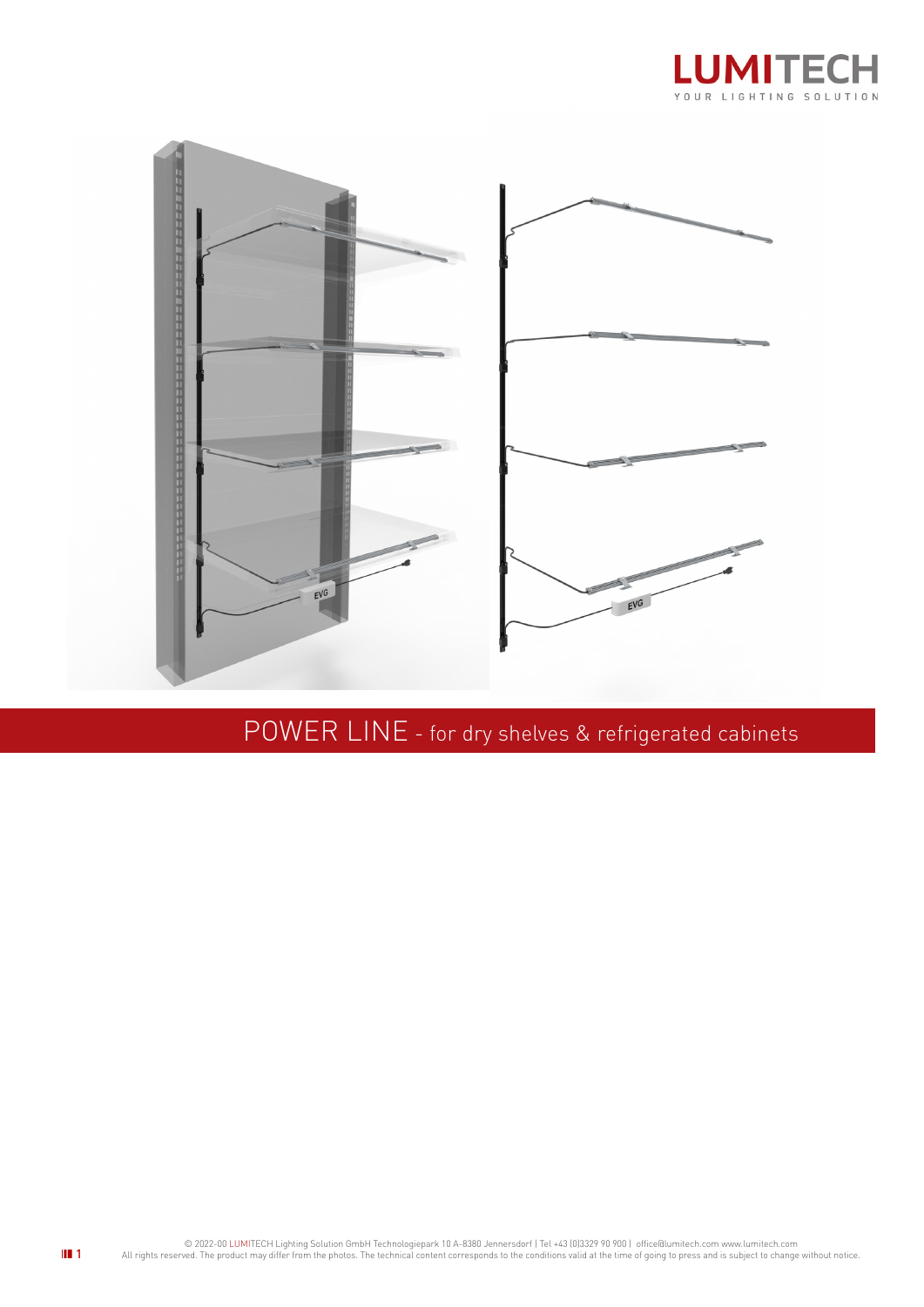



# POWER LINE - for dry shelves & refrigerated cabinets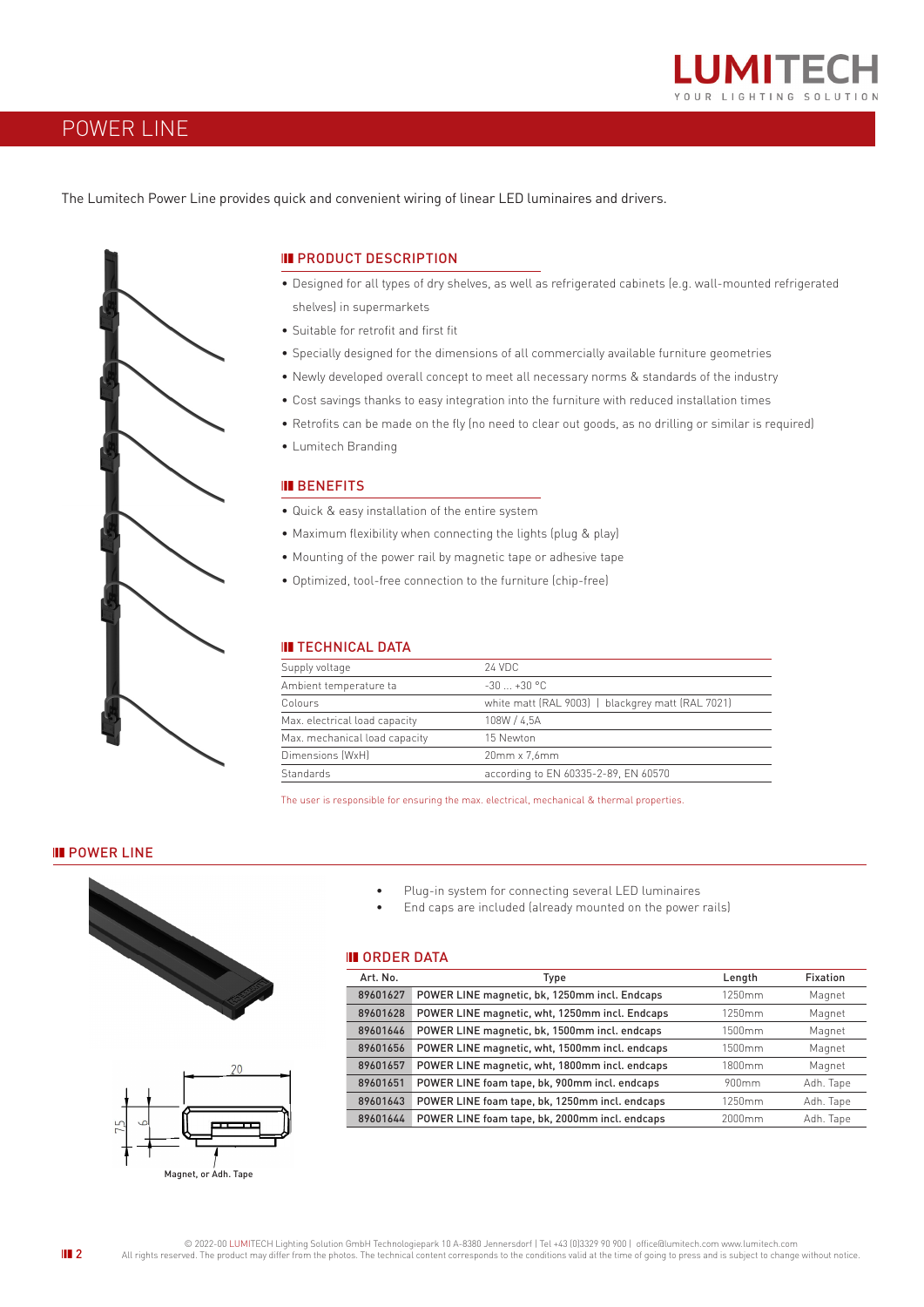

# POWER LINE

The Lumitech Power Line provides quick and convenient wiring of linear LED luminaires and drivers.



## **Ⅱ■ PRODUCT DESCRIPTION**

- Designed for all types of dry shelves, as well as refrigerated cabinets (e.g. wall-mounted refrigerated shelves) in supermarkets
- Suitable for retrofit and first fit
- Specially designed for the dimensions of all commercially available furniture geometries
- Newly developed overall concept to meet all necessary norms & standards of the industry
- Cost savings thanks to easy integration into the furniture with reduced installation times
- Retrofits can be made on the fly (no need to clear out goods, as no drilling or similar is required)
- Lumitech Branding

# **III** BENEFITS

- Quick & easy installation of the entire system
- Maximum flexibility when connecting the lights (plug & play)
- Mounting of the power rail by magnetic tape or adhesive tape
- Optimized, tool-free connection to the furniture (chip-free)

## **III TECHNICAL DATA**

| Supply voltage                | 24 VDC                                            |
|-------------------------------|---------------------------------------------------|
| Ambient temperature ta        | $-30 - 130$ °C                                    |
| Colours                       | white matt (RAL 9003)   blackgrey matt (RAL 7021) |
| Max. electrical load capacity | 108W / 4.5A                                       |
| Max. mechanical load capacity | 15 Newton                                         |
| Dimensions (WxH)              | 20mm x 7,6mm                                      |
| Standards                     | according to EN 60335-2-89, EN 60570              |
|                               |                                                   |

The user is responsible for ensuring the max. electrical, mechanical & thermal properties.

#### **III** POWER LINE





- Plug-in system for connecting several LED luminaires
- End caps are included (already mounted on the power rails)

## **III ORDER DATA**

| Art. No. | Type                                           | Length | <b>Fixation</b> |
|----------|------------------------------------------------|--------|-----------------|
| 89601627 | POWER LINE magnetic, bk, 1250mm incl. Endcaps  | 1250mm | Magnet          |
| 89601628 | POWER LINE magnetic, wht, 1250mm incl. Endcaps | 1250mm | Magnet          |
| 89601646 | POWER LINE magnetic, bk, 1500mm incl. endcaps  | 1500mm | Magnet          |
| 89601656 | POWER LINE magnetic, wht, 1500mm incl. endcaps | 1500mm | Magnet          |
| 89601657 | POWER LINE magnetic, wht, 1800mm incl. endcaps | 1800mm | Magnet          |
| 89601651 | POWER LINE foam tape, bk, 900mm incl. endcaps  | 900mm  | Adh. Tape       |
| 89601643 | POWER LINE foam tape, bk, 1250mm incl. endcaps | 1250mm | Adh. Tape       |
| 89601644 | POWER LINE foam tape, bk, 2000mm incl. endcaps | 2000mm | Adh. Tape       |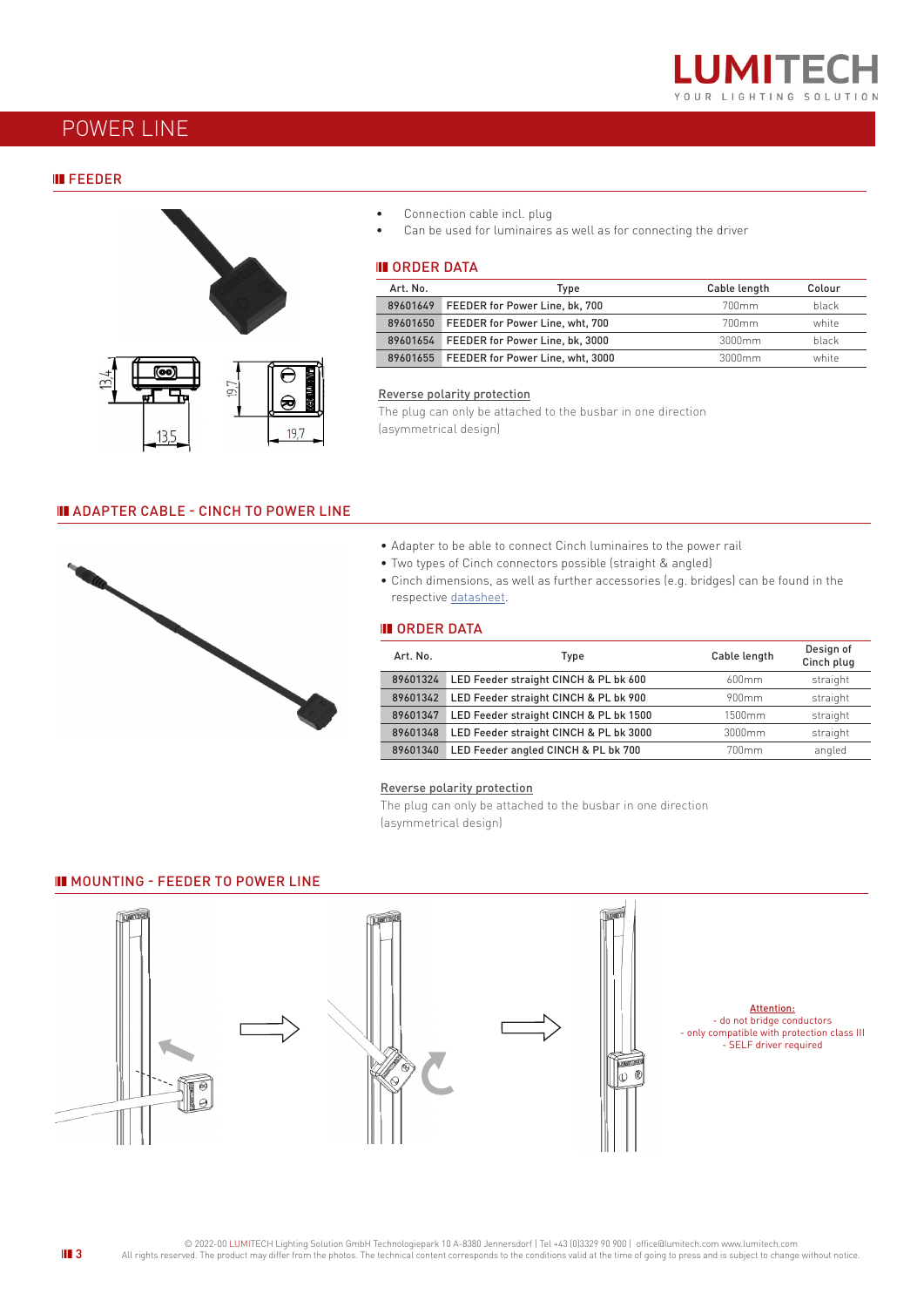

# POWER LINE

# ❘❙❚ FEEDER



- Connection cable incl. plug
- Can be used for luminaires as well as for connecting the driver

#### *III ORDER DATA*

| Art. No. | Type                             | Cable length | Colour |
|----------|----------------------------------|--------------|--------|
| 89601649 | FEEDER for Power Line, bk, 700   | 700mm        | black  |
| 89601650 | FEEDER for Power Line, wht, 700  | 700mm        | white  |
| 89601654 | FEEDER for Power Line, bk, 3000  | 3000mm       | black  |
| 89601655 | FEEDER for Power Line, wht, 3000 | 3000mm       | white  |

#### Reverse polarity protection

The plug can only be attached to the busbar in one direction (asymmetrical design)

### ❘❙❚ ADAPTER CABLE - CINCH TO POWER LINE



|  |  |  |  |  |  | • Adapter to be able to connect Cinch luminaires to the power rail |  |  |  |
|--|--|--|--|--|--|--------------------------------------------------------------------|--|--|--|
|--|--|--|--|--|--|--------------------------------------------------------------------|--|--|--|

- Two types of Cinch connectors possible (straight & angled)
- Cinch dimensions, as well as further accessories (e.g. bridges) can be found in the respective datasheet.

#### ❘❙❚ ORDER DATA

| Art. No. | Type                                   | Cable length | Design of<br>Cinch plug |
|----------|----------------------------------------|--------------|-------------------------|
| 89601324 | LED Feeder straight CINCH & PL bk 600  | 600mm        | straight                |
| 89601342 | LED Feeder straight CINCH & PL bk 900  | 900mm        | straight                |
| 89601347 | LED Feeder straight CINCH & PL bk 1500 | 1500mm       | straight                |
| 89601348 | LED Feeder straight CINCH & PL bk 3000 | 3000mm       | straight                |
| 89601340 | LED Feeder angled CINCH & PL bk 700    | 700mm        | angled                  |

### Reverse polarity protection

The plug can only be attached to the busbar in one direction (asymmetrical design)

#### ❘❙❚ MOUNTING - FEEDER TO POWER LINE